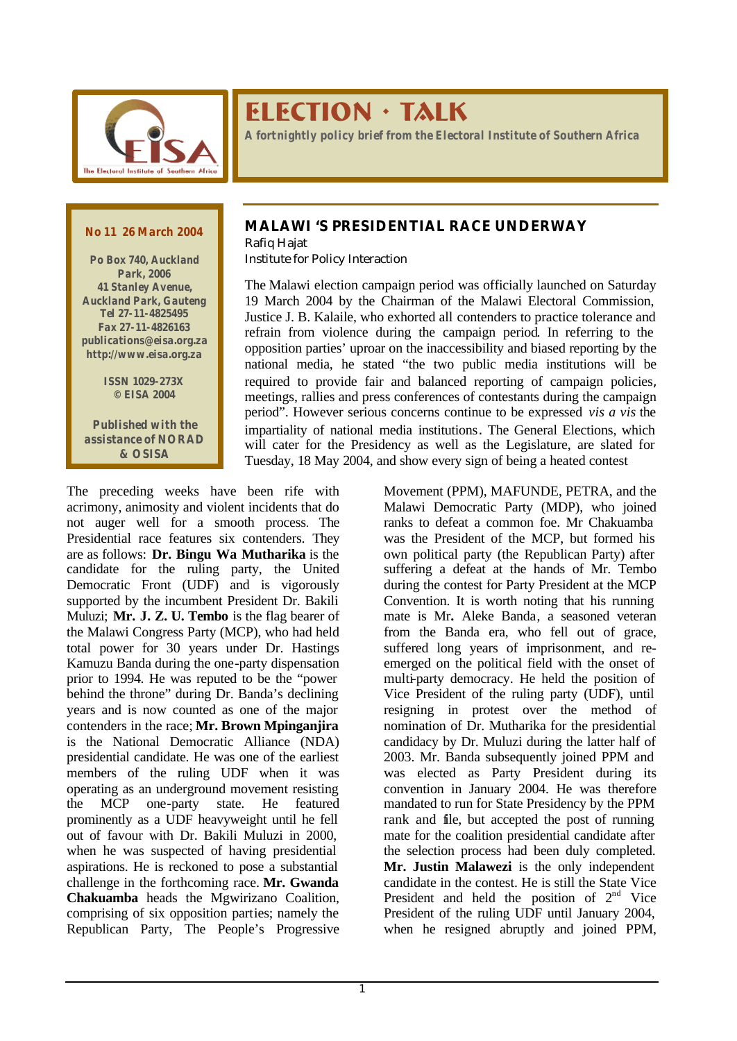

# ELECTION · TALK

*A fortnightly policy brief from the Electoral Institute of Southern Africa*

#### *No 11 26 March 2004*

*Po Box 740, Auckland Park, 2006 41 Stanley Avenue, Auckland Park, Gauteng Tel 27-11-4825495 Fax 27-11-4826163 publications@eisa.org.za http://www.eisa.org.za*

> *ISSN 1029-273X © EISA 2004*

*Published with the assistance of NORAD & OSISA*

## **MALAWI 'S PRESIDENTIAL RACE UNDERWAY**

Rafiq Hajat Institute for Policy Interaction

The Malawi election campaign period was officially launched on Saturday 19 March 2004 by the Chairman of the Malawi Electoral Commission, Justice J. B. Kalaile, who exhorted all contenders to practice tolerance and refrain from violence during the campaign period. In referring to the opposition parties' uproar on the inaccessibility and biased reporting by the national media, he stated "the two public media institutions will be required to provide fair and balanced reporting of campaign policies, meetings, rallies and press conferences of contestants during the campaign period". However serious concerns continue to be expressed *vis a vis* the impartiality of national media institutions. The General Elections, which will cater for the Presidency as well as the Legislature, are slated for Tuesday, 18 May 2004, and show every sign of being a heated contest

The preceding weeks have been rife with acrimony, animosity and violent incidents that do not auger well for a smooth process. The Presidential race features six contenders. They are as follows: **Dr. Bingu Wa Mutharika** is the candidate for the ruling party, the United Democratic Front (UDF) and is vigorously supported by the incumbent President Dr. Bakili Muluzi; **Mr. J. Z. U. Tembo** is the flag bearer of the Malawi Congress Party (MCP), who had held total power for 30 years under Dr. Hastings Kamuzu Banda during the one-party dispensation prior to 1994. He was reputed to be the "power behind the throne" during Dr. Banda's declining years and is now counted as one of the major contenders in the race; **Mr. Brown Mpinganjira** is the National Democratic Alliance (NDA) presidential candidate. He was one of the earliest members of the ruling UDF when it was operating as an underground movement resisting the MCP one-party state. He featured prominently as a UDF heavyweight until he fell out of favour with Dr. Bakili Muluzi in 2000, when he was suspected of having presidential aspirations. He is reckoned to pose a substantial challenge in the forthcoming race. **Mr. Gwanda Chakuamba** heads the Mgwirizano Coalition, comprising of six opposition parties; namely the Republican Party, The People's Progressive

Movement (PPM), MAFUNDE, PETRA, and the Malawi Democratic Party (MDP), who joined ranks to defeat a common foe. Mr Chakuamba was the President of the MCP, but formed his own political party (the Republican Party) after suffering a defeat at the hands of Mr. Tembo during the contest for Party President at the MCP Convention. It is worth noting that his running mate is Mr**.** Aleke Banda, a seasoned veteran from the Banda era, who fell out of grace, suffered long years of imprisonment, and reemerged on the political field with the onset of multi-party democracy. He held the position of Vice President of the ruling party (UDF), until resigning in protest over the method of nomination of Dr. Mutharika for the presidential candidacy by Dr. Muluzi during the latter half of 2003. Mr. Banda subsequently joined PPM and was elected as Party President during its convention in January 2004. He was therefore mandated to run for State Presidency by the PPM rank and file, but accepted the post of running mate for the coalition presidential candidate after the selection process had been duly completed. **Mr. Justin Malawezi** is the only independent candidate in the contest. He is still the State Vice President and held the position of  $2<sup>nd</sup>$  Vice President of the ruling UDF until January 2004, when he resigned abruptly and joined PPM,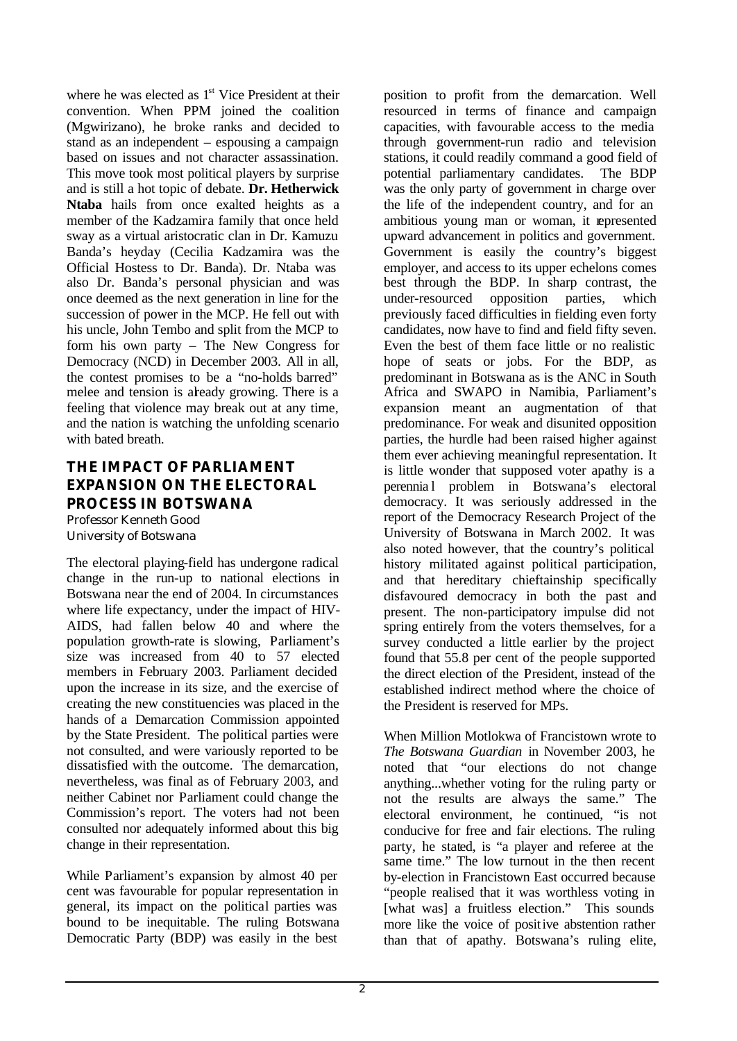where he was elected as 1<sup>st</sup> Vice President at their convention. When PPM joined the coalition (Mgwirizano), he broke ranks and decided to stand as an independent – espousing a campaign based on issues and not character assassination. This move took most political players by surprise and is still a hot topic of debate. **Dr. Hetherwick Ntaba** hails from once exalted heights as a member of the Kadzamira family that once held sway as a virtual aristocratic clan in Dr. Kamuzu Banda's heyday (Cecilia Kadzamira was the Official Hostess to Dr. Banda). Dr. Ntaba was also Dr. Banda's personal physician and was once deemed as the next generation in line for the succession of power in the MCP. He fell out with his uncle, John Tembo and split from the MCP to form his own party – The New Congress for Democracy (NCD) in December 2003. All in all, the contest promises to be a "no-holds barred" melee and tension is already growing. There is a feeling that violence may break out at any time, and the nation is watching the unfolding scenario with bated breath.

# **THE IMPACT OF PARLIAMENT EXPANSION ON THE ELECTORAL PROCESS IN BOTSWANA**

Professor Kenneth Good University of Botswana

The electoral playing-field has undergone radical change in the run-up to national elections in Botswana near the end of 2004. In circumstances where life expectancy, under the impact of HIV-AIDS, had fallen below 40 and where the population growth-rate is slowing, Parliament's size was increased from 40 to 57 elected members in February 2003. Parliament decided upon the increase in its size, and the exercise of creating the new constituencies was placed in the hands of a Demarcation Commission appointed by the State President. The political parties were not consulted, and were variously reported to be dissatisfied with the outcome. The demarcation, nevertheless, was final as of February 2003, and neither Cabinet nor Parliament could change the Commission's report. The voters had not been consulted nor adequately informed about this big change in their representation.

While Parliament's expansion by almost 40 per cent was favourable for popular representation in general, its impact on the political parties was bound to be inequitable. The ruling Botswana Democratic Party (BDP) was easily in the best

position to profit from the demarcation. Well resourced in terms of finance and campaign capacities, with favourable access to the media through government-run radio and television stations, it could readily command a good field of potential parliamentary candidates. The BDP was the only party of government in charge over the life of the independent country, and for an ambitious young man or woman, it represented upward advancement in politics and government. Government is easily the country's biggest employer, and access to its upper echelons comes best through the BDP. In sharp contrast, the under-resourced opposition parties, which previously faced difficulties in fielding even forty candidates, now have to find and field fifty seven. Even the best of them face little or no realistic hope of seats or jobs. For the BDP, as predominant in Botswana as is the ANC in South Africa and SWAPO in Namibia, Parliament's expansion meant an augmentation of that predominance. For weak and disunited opposition parties, the hurdle had been raised higher against them ever achieving meaningful representation. It is little wonder that supposed voter apathy is a perennia l problem in Botswana's electoral democracy. It was seriously addressed in the report of the Democracy Research Project of the University of Botswana in March 2002. It was also noted however, that the country's political history militated against political participation, and that hereditary chieftainship specifically disfavoured democracy in both the past and present. The non-participatory impulse did not spring entirely from the voters themselves, for a survey conducted a little earlier by the project found that 55.8 per cent of the people supported the direct election of the President, instead of the established indirect method where the choice of the President is reserved for MPs.

When Million Motlokwa of Francistown wrote to *The Botswana Guardian* in November 2003, he noted that "our elections do not change anything...whether voting for the ruling party or not the results are always the same." The electoral environment, he continued, "is not conducive for free and fair elections. The ruling party, he stated, is "a player and referee at the same time." The low turnout in the then recent by-election in Francistown East occurred because "people realised that it was worthless voting in [what was] a fruitless election." This sounds more like the voice of positive abstention rather than that of apathy. Botswana's ruling elite,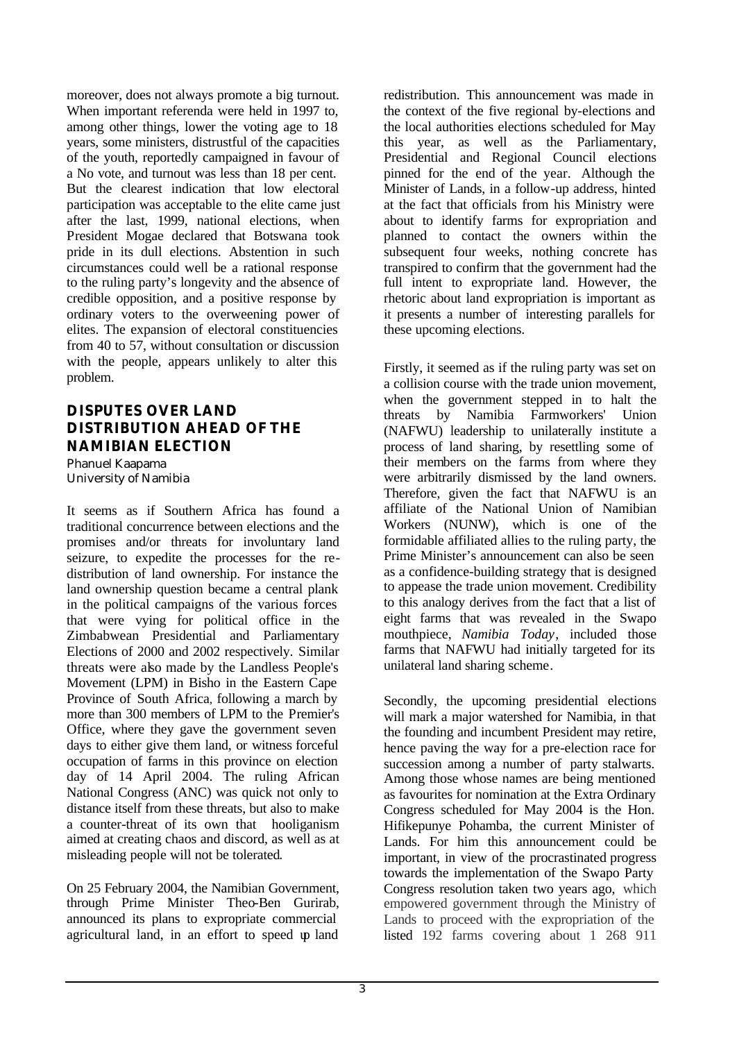moreover, does not always promote a big turnout. When important referenda were held in 1997 to, among other things, lower the voting age to 18 years, some ministers, distrustful of the capacities of the youth, reportedly campaigned in favour of a No vote, and turnout was less than 18 per cent. But the clearest indication that low electoral participation was acceptable to the elite came just after the last, 1999, national elections, when President Mogae declared that Botswana took pride in its dull elections. Abstention in such circumstances could well be a rational response to the ruling party's longevity and the absence of credible opposition, and a positive response by ordinary voters to the overweening power of elites. The expansion of electoral constituencies from 40 to 57, without consultation or discussion with the people, appears unlikely to alter this problem.

# **DISPUTES OVER LAND DISTRIBUTION AHEAD OF THE NAMIBIAN ELECTION**

Phanuel Kaapama University of Namibia

It seems as if Southern Africa has found a traditional concurrence between elections and the promises and/or threats for involuntary land seizure, to expedite the processes for the redistribution of land ownership. For instance the land ownership question became a central plank in the political campaigns of the various forces that were vying for political office in the Zimbabwean Presidential and Parliamentary Elections of 2000 and 2002 respectively. Similar threats were also made by the Landless People's Movement (LPM) in Bisho in the Eastern Cape Province of South Africa, following a march by more than 300 members of LPM to the Premier's Office, where they gave the government seven days to either give them land, or witness forceful occupation of farms in this province on election day of 14 April 2004. The ruling African National Congress (ANC) was quick not only to distance itself from these threats, but also to make a counter-threat of its own that hooliganism aimed at creating chaos and discord, as well as at misleading people will not be tolerated.

On 25 February 2004, the Namibian Government, through Prime Minister Theo-Ben Gurirab, announced its plans to expropriate commercial agricultural land, in an effort to speed  $\psi$  land

redistribution. This announcement was made in the context of the five regional by-elections and the local authorities elections scheduled for May this year, as well as the Parliamentary, Presidential and Regional Council elections pinned for the end of the year. Although the Minister of Lands, in a follow-up address, hinted at the fact that officials from his Ministry were about to identify farms for expropriation and planned to contact the owners within the subsequent four weeks, nothing concrete has transpired to confirm that the government had the full intent to expropriate land. However, the rhetoric about land expropriation is important as it presents a number of interesting parallels for these upcoming elections.

Firstly, it seemed as if the ruling party was set on a collision course with the trade union movement, when the government stepped in to halt the threats by Namibia Farmworkers' Union (NAFWU) leadership to unilaterally institute a process of land sharing, by resettling some of their members on the farms from where they were arbitrarily dismissed by the land owners. Therefore, given the fact that NAFWU is an affiliate of the National Union of Namibian Workers (NUNW), which is one of the formidable affiliated allies to the ruling party, the Prime Minister's announcement can also be seen as a confidence-building strategy that is designed to appease the trade union movement. Credibility to this analogy derives from the fact that a list of eight farms that was revealed in the Swapo mouthpiece, *Namibia Today*, included those farms that NAFWU had initially targeted for its unilateral land sharing scheme.

Secondly, the upcoming presidential elections will mark a major watershed for Namibia, in that the founding and incumbent President may retire, hence paving the way for a pre-election race for succession among a number of party stalwarts. Among those whose names are being mentioned as favourites for nomination at the Extra Ordinary Congress scheduled for May 2004 is the Hon. Hifikepunye Pohamba, the current Minister of Lands. For him this announcement could be important, in view of the procrastinated progress towards the implementation of the Swapo Party Congress resolution taken two years ago, which empowered government through the Ministry of Lands to proceed with the expropriation of the listed 192 farms covering about 1 268 911